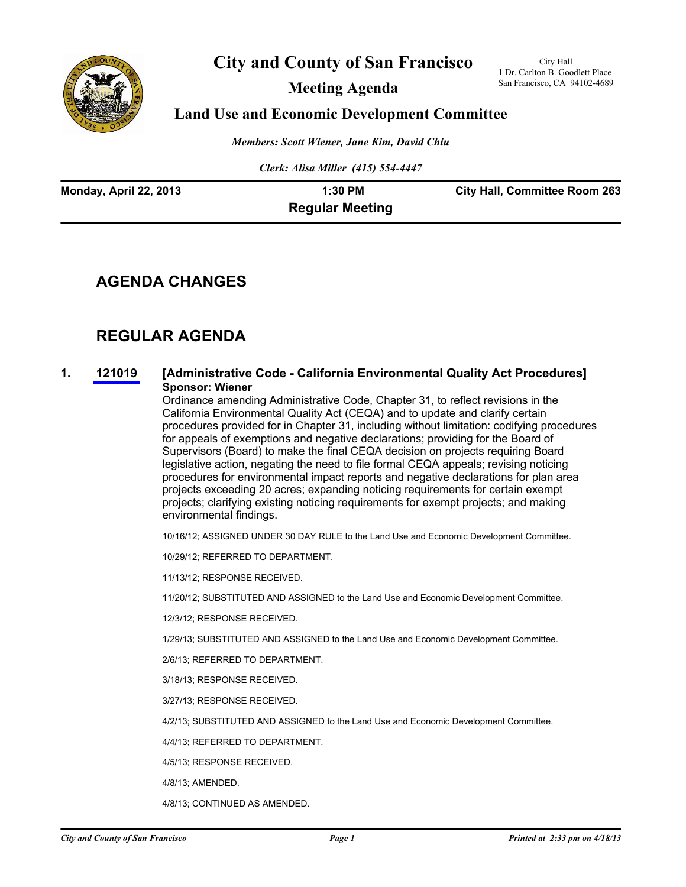

# **City and County of San Francisco**

**Meeting Agenda**

City Hall 1 Dr. Carlton B. Goodlett Place San Francisco, CA 94102-4689

### **Land Use and Economic Development Committee**

*Members: Scott Wiener, Jane Kim, David Chiu*

*Clerk: Alisa Miller (415) 554-4447*

| Monday, April 22, 2013 | 1:30 PM                | <b>City Hall, Committee Room 263</b> |
|------------------------|------------------------|--------------------------------------|
|                        | <b>Regular Meeting</b> |                                      |

### **AGENDA CHANGES**

# **REGULAR AGENDA**

### **1. [121019](http://www.sfbos.org/ftp/uploadedfiles/bdsupvrs/committees/materials/lu042213_121019.pdf) [Administrative Code - California Environmental Quality Act Procedures] Sponsor: Wiener**

Ordinance amending Administrative Code, Chapter 31, to reflect revisions in the California Environmental Quality Act (CEQA) and to update and clarify certain procedures provided for in Chapter 31, including without limitation: codifying procedures for appeals of exemptions and negative declarations; providing for the Board of Supervisors (Board) to make the final CEQA decision on projects requiring Board legislative action, negating the need to file formal CEQA appeals; revising noticing procedures for environmental impact reports and negative declarations for plan area projects exceeding 20 acres; expanding noticing requirements for certain exempt projects; clarifying existing noticing requirements for exempt projects; and making environmental findings.

10/16/12; ASSIGNED UNDER 30 DAY RULE to the Land Use and Economic Development Committee.

10/29/12; REFERRED TO DEPARTMENT.

11/13/12; RESPONSE RECEIVED.

11/20/12; SUBSTITUTED AND ASSIGNED to the Land Use and Economic Development Committee.

12/3/12; RESPONSE RECEIVED.

1/29/13; SUBSTITUTED AND ASSIGNED to the Land Use and Economic Development Committee.

2/6/13; REFERRED TO DEPARTMENT.

3/18/13; RESPONSE RECEIVED.

3/27/13; RESPONSE RECEIVED.

4/2/13; SUBSTITUTED AND ASSIGNED to the Land Use and Economic Development Committee.

4/4/13; REFERRED TO DEPARTMENT.

4/5/13; RESPONSE RECEIVED.

4/8/13; AMENDED.

4/8/13; CONTINUED AS AMENDED.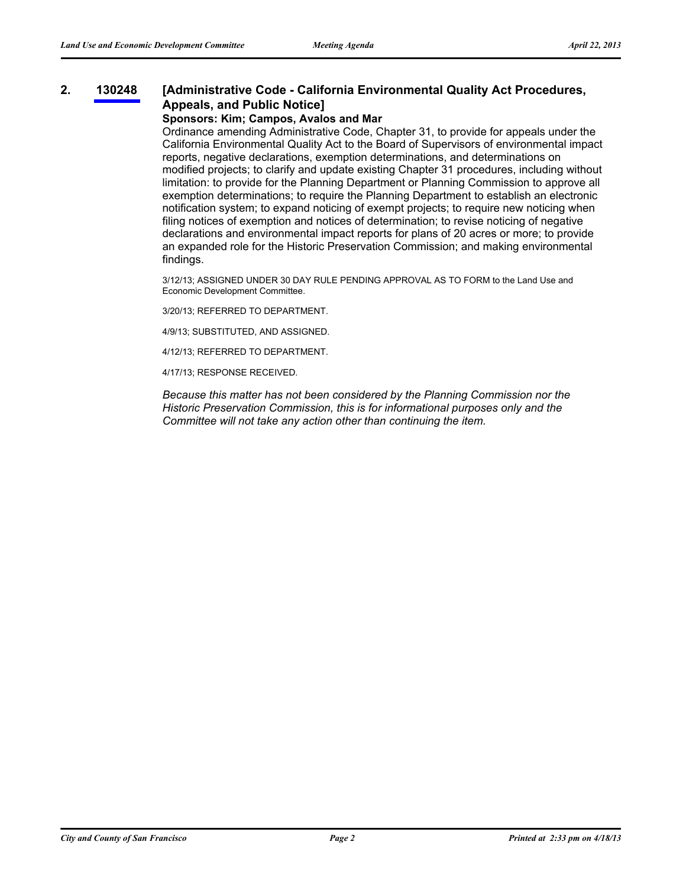#### **[Administrative Code - California Environmental Quality Act Procedures, Appeals, and Public Notice] 2. [130248](http://www.sfbos.org/ftp/uploadedfiles/bdsupvrs/committees/materials/lu042213_130248.pdf)**

### **Sponsors: Kim; Campos, Avalos and Mar**

Ordinance amending Administrative Code, Chapter 31, to provide for appeals under the California Environmental Quality Act to the Board of Supervisors of environmental impact reports, negative declarations, exemption determinations, and determinations on modified projects; to clarify and update existing Chapter 31 procedures, including without limitation: to provide for the Planning Department or Planning Commission to approve all exemption determinations; to require the Planning Department to establish an electronic notification system; to expand noticing of exempt projects; to require new noticing when filing notices of exemption and notices of determination; to revise noticing of negative declarations and environmental impact reports for plans of 20 acres or more; to provide an expanded role for the Historic Preservation Commission; and making environmental findings.

3/12/13; ASSIGNED UNDER 30 DAY RULE PENDING APPROVAL AS TO FORM to the Land Use and Economic Development Committee.

3/20/13; REFERRED TO DEPARTMENT.

4/9/13; SUBSTITUTED, AND ASSIGNED.

4/12/13; REFERRED TO DEPARTMENT.

4/17/13; RESPONSE RECEIVED.

*Because this matter has not been considered by the Planning Commission nor the Historic Preservation Commission, this is for informational purposes only and the Committee will not take any action other than continuing the item.*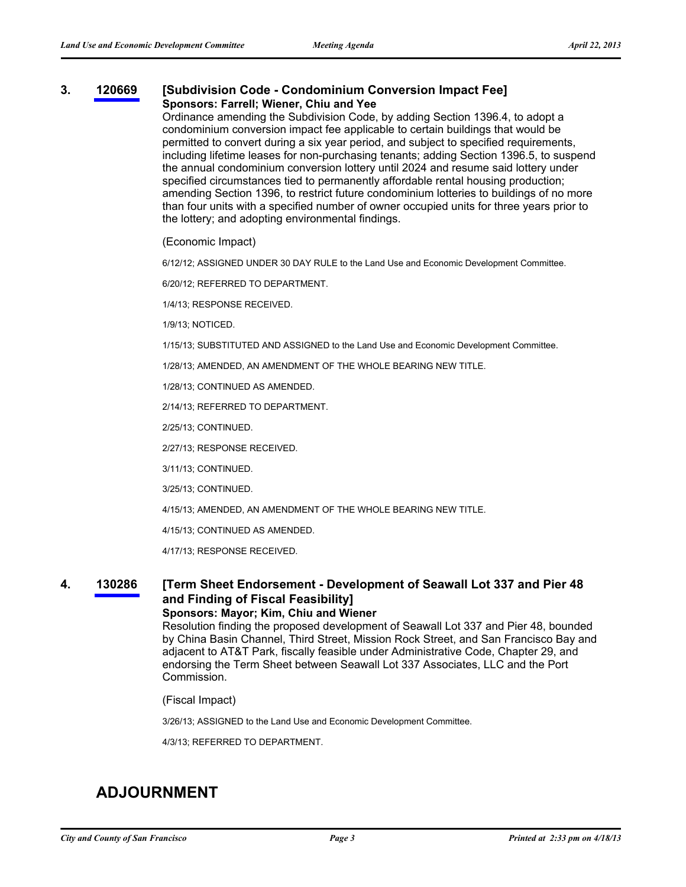### **3. [120669](http://www.sfbos.org/ftp/uploadedfiles/bdsupvrs/committees/materials/lu042213_120669.pdf) [Subdivision Code - Condominium Conversion Impact Fee] Sponsors: Farrell; Wiener, Chiu and Yee**

Ordinance amending the Subdivision Code, by adding Section 1396.4, to adopt a condominium conversion impact fee applicable to certain buildings that would be permitted to convert during a six year period, and subject to specified requirements, including lifetime leases for non-purchasing tenants; adding Section 1396.5, to suspend the annual condominium conversion lottery until 2024 and resume said lottery under specified circumstances tied to permanently affordable rental housing production; amending Section 1396, to restrict future condominium lotteries to buildings of no more than four units with a specified number of owner occupied units for three years prior to the lottery; and adopting environmental findings.

(Economic Impact)

6/12/12; ASSIGNED UNDER 30 DAY RULE to the Land Use and Economic Development Committee.

6/20/12; REFERRED TO DEPARTMENT.

1/4/13; RESPONSE RECEIVED.

1/9/13; NOTICED.

1/15/13; SUBSTITUTED AND ASSIGNED to the Land Use and Economic Development Committee.

1/28/13; AMENDED, AN AMENDMENT OF THE WHOLE BEARING NEW TITLE.

1/28/13; CONTINUED AS AMENDED.

2/14/13; REFERRED TO DEPARTMENT.

2/25/13; CONTINUED.

2/27/13; RESPONSE RECEIVED.

3/11/13; CONTINUED.

3/25/13; CONTINUED.

4/15/13; AMENDED, AN AMENDMENT OF THE WHOLE BEARING NEW TITLE.

4/15/13; CONTINUED AS AMENDED.

4/17/13; RESPONSE RECEIVED.

#### **[Term Sheet Endorsement - Development of Seawall Lot 337 and Pier 48 and Finding of Fiscal Feasibility] 4. [130286](http://www.sfbos.org/ftp/uploadedfiles/bdsupvrs/committees/materials/lu042213_130286.pdf)**

### **Sponsors: Mayor; Kim, Chiu and Wiener**

Resolution finding the proposed development of Seawall Lot 337 and Pier 48, bounded by China Basin Channel, Third Street, Mission Rock Street, and San Francisco Bay and adjacent to AT&T Park, fiscally feasible under Administrative Code, Chapter 29, and endorsing the Term Sheet between Seawall Lot 337 Associates, LLC and the Port Commission.

(Fiscal Impact)

3/26/13; ASSIGNED to the Land Use and Economic Development Committee.

4/3/13; REFERRED TO DEPARTMENT.

# **ADJOURNMENT**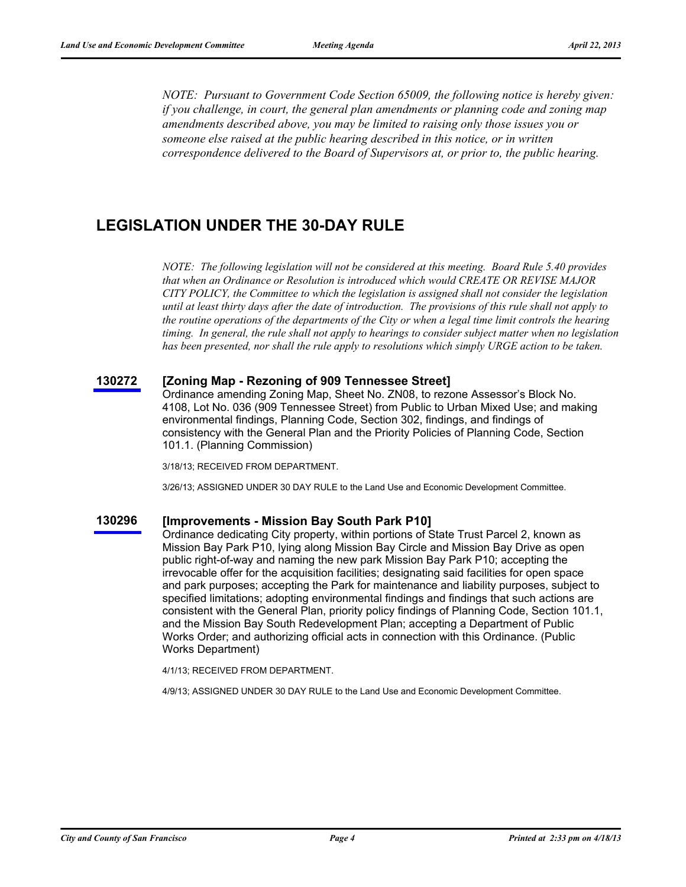*NOTE: Pursuant to Government Code Section 65009, the following notice is hereby given: if you challenge, in court, the general plan amendments or planning code and zoning map amendments described above, you may be limited to raising only those issues you or someone else raised at the public hearing described in this notice, or in written correspondence delivered to the Board of Supervisors at, or prior to, the public hearing.*

### **LEGISLATION UNDER THE 30-DAY RULE**

*NOTE: The following legislation will not be considered at this meeting. Board Rule 5.40 provides that when an Ordinance or Resolution is introduced which would CREATE OR REVISE MAJOR CITY POLICY, the Committee to which the legislation is assigned shall not consider the legislation until at least thirty days after the date of introduction. The provisions of this rule shall not apply to the routine operations of the departments of the City or when a legal time limit controls the hearing timing. In general, the rule shall not apply to hearings to consider subject matter when no legislation has been presented, nor shall the rule apply to resolutions which simply URGE action to be taken.*

#### **[130272](http://www.sfbos.org/ftp/uploadedfiles/bdsupvrs/committees/materials/lu130272tdr.pdf) [Zoning Map - Rezoning of 909 Tennessee Street]**

Ordinance amending Zoning Map, Sheet No. ZN08, to rezone Assessor's Block No. 4108, Lot No. 036 (909 Tennessee Street) from Public to Urban Mixed Use; and making environmental findings, Planning Code, Section 302, findings, and findings of consistency with the General Plan and the Priority Policies of Planning Code, Section 101.1. (Planning Commission)

3/18/13; RECEIVED FROM DEPARTMENT.

3/26/13; ASSIGNED UNDER 30 DAY RULE to the Land Use and Economic Development Committee.

#### **[130296](http://www.sfbos.org/ftp/uploadedfiles/bdsupvrs/committees/materials/lu130296tdr.pdf) [Improvements - Mission Bay South Park P10]**

Ordinance dedicating City property, within portions of State Trust Parcel 2, known as Mission Bay Park P10, lying along Mission Bay Circle and Mission Bay Drive as open public right-of-way and naming the new park Mission Bay Park P10; accepting the irrevocable offer for the acquisition facilities; designating said facilities for open space and park purposes; accepting the Park for maintenance and liability purposes, subject to specified limitations; adopting environmental findings and findings that such actions are consistent with the General Plan, priority policy findings of Planning Code, Section 101.1, and the Mission Bay South Redevelopment Plan; accepting a Department of Public Works Order; and authorizing official acts in connection with this Ordinance. (Public Works Department)

4/1/13; RECEIVED FROM DEPARTMENT.

4/9/13; ASSIGNED UNDER 30 DAY RULE to the Land Use and Economic Development Committee.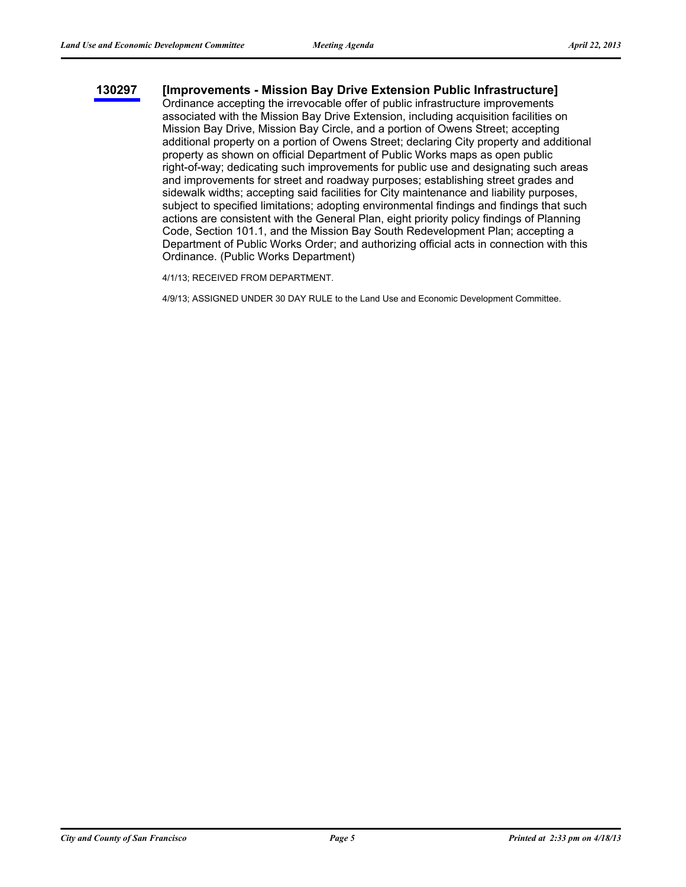### **[130297](http://www.sfbos.org/ftp/uploadedfiles/bdsupvrs/committees/materials/lu130297tdr.pdf) [Improvements - Mission Bay Drive Extension Public Infrastructure]**

Ordinance accepting the irrevocable offer of public infrastructure improvements associated with the Mission Bay Drive Extension, including acquisition facilities on Mission Bay Drive, Mission Bay Circle, and a portion of Owens Street; accepting additional property on a portion of Owens Street; declaring City property and additional property as shown on official Department of Public Works maps as open public right-of-way; dedicating such improvements for public use and designating such areas and improvements for street and roadway purposes; establishing street grades and sidewalk widths; accepting said facilities for City maintenance and liability purposes, subject to specified limitations; adopting environmental findings and findings that such actions are consistent with the General Plan, eight priority policy findings of Planning Code, Section 101.1, and the Mission Bay South Redevelopment Plan; accepting a Department of Public Works Order; and authorizing official acts in connection with this Ordinance. (Public Works Department)

4/1/13; RECEIVED FROM DEPARTMENT.

4/9/13; ASSIGNED UNDER 30 DAY RULE to the Land Use and Economic Development Committee.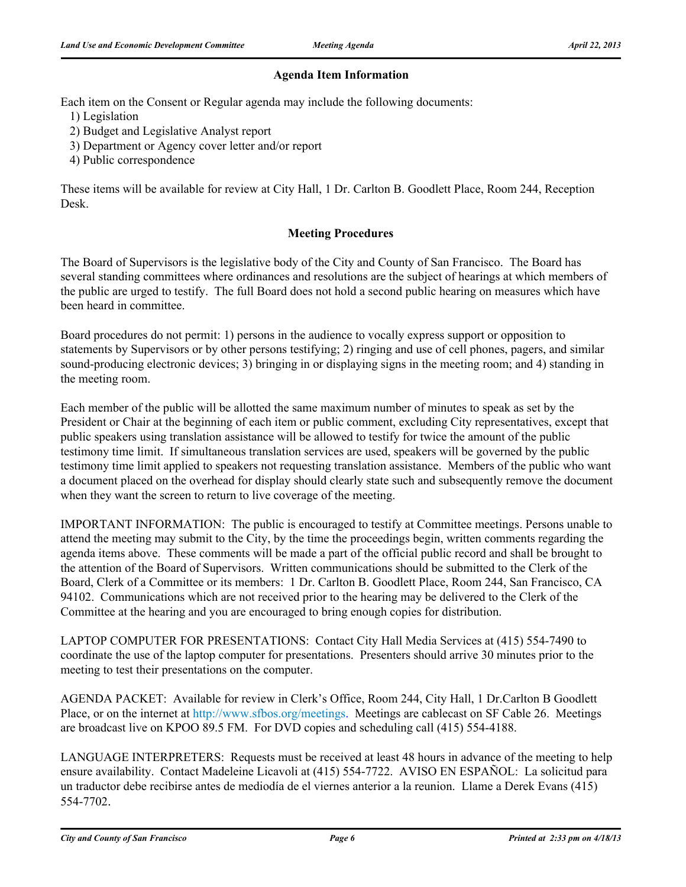### **Agenda Item Information**

Each item on the Consent or Regular agenda may include the following documents:

1) Legislation

- 2) Budget and Legislative Analyst report
- 3) Department or Agency cover letter and/or report
- 4) Public correspondence

These items will be available for review at City Hall, 1 Dr. Carlton B. Goodlett Place, Room 244, Reception Desk.

### **Meeting Procedures**

The Board of Supervisors is the legislative body of the City and County of San Francisco. The Board has several standing committees where ordinances and resolutions are the subject of hearings at which members of the public are urged to testify. The full Board does not hold a second public hearing on measures which have been heard in committee.

Board procedures do not permit: 1) persons in the audience to vocally express support or opposition to statements by Supervisors or by other persons testifying; 2) ringing and use of cell phones, pagers, and similar sound-producing electronic devices; 3) bringing in or displaying signs in the meeting room; and 4) standing in the meeting room.

Each member of the public will be allotted the same maximum number of minutes to speak as set by the President or Chair at the beginning of each item or public comment, excluding City representatives, except that public speakers using translation assistance will be allowed to testify for twice the amount of the public testimony time limit. If simultaneous translation services are used, speakers will be governed by the public testimony time limit applied to speakers not requesting translation assistance. Members of the public who want a document placed on the overhead for display should clearly state such and subsequently remove the document when they want the screen to return to live coverage of the meeting.

IMPORTANT INFORMATION: The public is encouraged to testify at Committee meetings. Persons unable to attend the meeting may submit to the City, by the time the proceedings begin, written comments regarding the agenda items above. These comments will be made a part of the official public record and shall be brought to the attention of the Board of Supervisors. Written communications should be submitted to the Clerk of the Board, Clerk of a Committee or its members: 1 Dr. Carlton B. Goodlett Place, Room 244, San Francisco, CA 94102. Communications which are not received prior to the hearing may be delivered to the Clerk of the Committee at the hearing and you are encouraged to bring enough copies for distribution.

LAPTOP COMPUTER FOR PRESENTATIONS: Contact City Hall Media Services at (415) 554-7490 to coordinate the use of the laptop computer for presentations. Presenters should arrive 30 minutes prior to the meeting to test their presentations on the computer.

AGENDA PACKET: Available for review in Clerk's Office, Room 244, City Hall, 1 Dr.Carlton B Goodlett Place, or on the internet at http://www.sfbos.org/meetings. Meetings are cablecast on SF Cable 26. Meetings are broadcast live on KPOO 89.5 FM. For DVD copies and scheduling call (415) 554-4188.

LANGUAGE INTERPRETERS: Requests must be received at least 48 hours in advance of the meeting to help ensure availability. Contact Madeleine Licavoli at (415) 554-7722. AVISO EN ESPAÑOL: La solicitud para un traductor debe recibirse antes de mediodía de el viernes anterior a la reunion. Llame a Derek Evans (415) 554-7702.